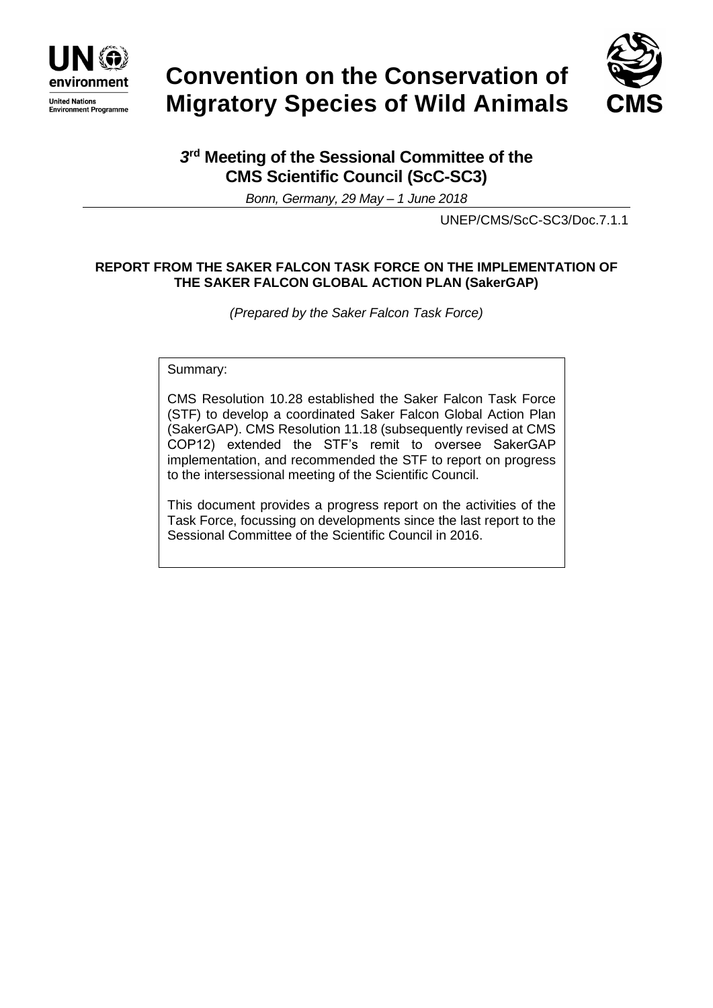

# **Convention on the Conservation of Migratory Species of Wild Animals**



# *3* **rd Meeting of the Sessional Committee of the CMS Scientific Council (ScC-SC3)**

*Bonn, Germany, 29 May – 1 June 2018*

UNEP/CMS/ScC-SC3/Doc.7.1.1

## **REPORT FROM THE SAKER FALCON TASK FORCE ON THE IMPLEMENTATION OF THE SAKER FALCON GLOBAL ACTION PLAN (SakerGAP)**

*(Prepared by the Saker Falcon Task Force)*

Summary:

CMS Resolution 10.28 established the Saker Falcon Task Force (STF) to develop a coordinated Saker Falcon Global Action Plan (SakerGAP). CMS Resolution 11.18 (subsequently revised at CMS COP12) extended the STF's remit to oversee SakerGAP implementation, and recommended the STF to report on progress to the intersessional meeting of the Scientific Council.

This document provides a progress report on the activities of the Task Force, focussing on developments since the last report to the Sessional Committee of the Scientific Council in 2016.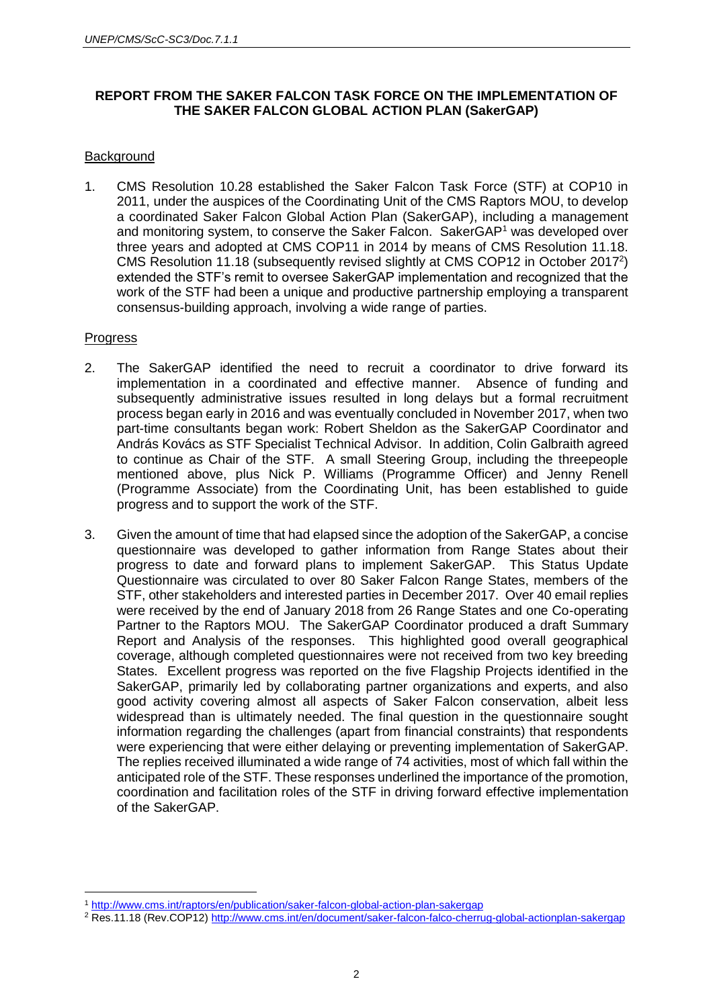## **REPORT FROM THE SAKER FALCON TASK FORCE ON THE IMPLEMENTATION OF THE SAKER FALCON GLOBAL ACTION PLAN (SakerGAP)**

#### **Background**

1. CMS Resolution 10.28 established the Saker Falcon Task Force (STF) at COP10 in 2011, under the auspices of the Coordinating Unit of the CMS Raptors MOU, to develop a coordinated Saker Falcon Global Action Plan (SakerGAP), including a management and monitoring system, to conserve the Saker Falcon. SakerGAP<sup>1</sup> was developed over three years and adopted at CMS COP11 in 2014 by means of CMS Resolution 11.18. CMS Resolution 11.18 (subsequently revised slightly at CMS COP12 in October 2017<sup>2</sup> ) extended the STF's remit to oversee SakerGAP implementation and recognized that the work of the STF had been a unique and productive partnership employing a transparent consensus-building approach, involving a wide range of parties.

#### Progress

- 2. The SakerGAP identified the need to recruit a coordinator to drive forward its implementation in a coordinated and effective manner. Absence of funding and subsequently administrative issues resulted in long delays but a formal recruitment process began early in 2016 and was eventually concluded in November 2017, when two part-time consultants began work: Robert Sheldon as the SakerGAP Coordinator and András Kovács as STF Specialist Technical Advisor. In addition, Colin Galbraith agreed to continue as Chair of the STF. A small Steering Group, including the threepeople mentioned above, plus Nick P. Williams (Programme Officer) and Jenny Renell (Programme Associate) from the Coordinating Unit, has been established to guide progress and to support the work of the STF.
- 3. Given the amount of time that had elapsed since the adoption of the SakerGAP, a concise questionnaire was developed to gather information from Range States about their progress to date and forward plans to implement SakerGAP. This Status Update Questionnaire was circulated to over 80 Saker Falcon Range States, members of the STF, other stakeholders and interested parties in December 2017. Over 40 email replies were received by the end of January 2018 from 26 Range States and one Co-operating Partner to the Raptors MOU. The SakerGAP Coordinator produced a draft Summary Report and Analysis of the responses. This highlighted good overall geographical coverage, although completed questionnaires were not received from two key breeding States. Excellent progress was reported on the five Flagship Projects identified in the SakerGAP, primarily led by collaborating partner organizations and experts, and also good activity covering almost all aspects of Saker Falcon conservation, albeit less widespread than is ultimately needed. The final question in the questionnaire sought information regarding the challenges (apart from financial constraints) that respondents were experiencing that were either delaying or preventing implementation of SakerGAP. The replies received illuminated a wide range of 74 activities, most of which fall within the anticipated role of the STF. These responses underlined the importance of the promotion, coordination and facilitation roles of the STF in driving forward effective implementation of the SakerGAP.

 $\overline{a}$ <sup>1</sup> <http://www.cms.int/raptors/en/publication/saker-falcon-global-action-plan-sakergap>

<sup>2</sup> Res.11.18 (Rev.COP12)<http://www.cms.int/en/document/saker-falcon-falco-cherrug-global-actionplan-sakergap>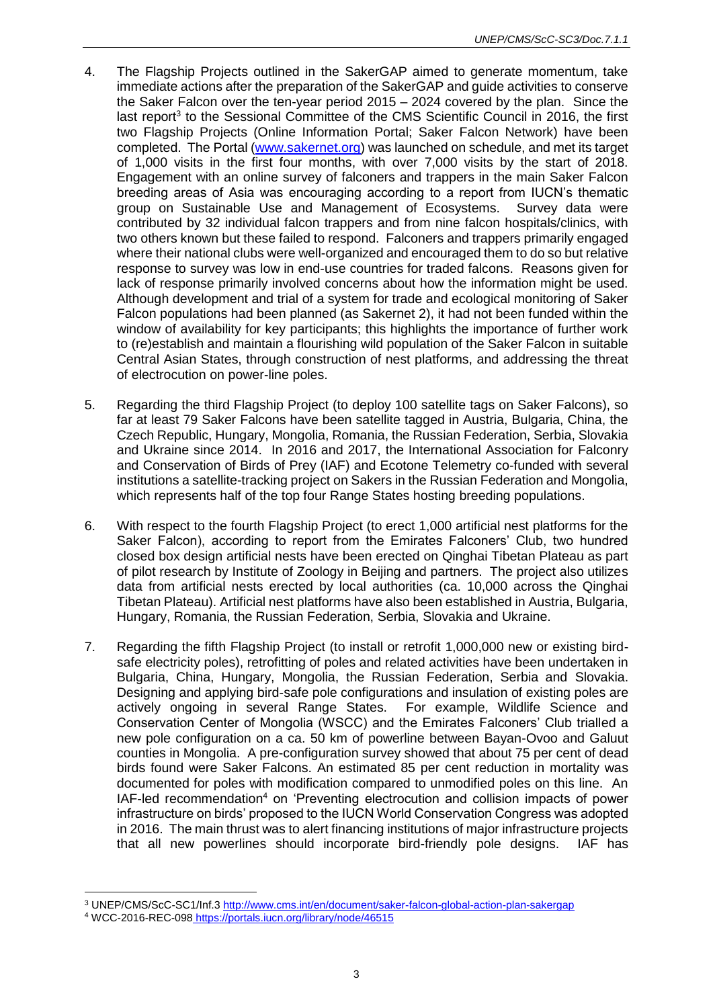- 4. The Flagship Projects outlined in the SakerGAP aimed to generate momentum, take immediate actions after the preparation of the SakerGAP and guide activities to conserve the Saker Falcon over the ten-year period 2015 – 2024 covered by the plan. Since the last report<sup>3</sup> to the Sessional Committee of the CMS Scientific Council in 2016, the first two Flagship Projects (Online Information Portal; Saker Falcon Network) have been completed. The Portal [\(www.sakernet.org\)](http://www.sakernet.org/) was launched on schedule, and met its target of 1,000 visits in the first four months, with over 7,000 visits by the start of 2018. Engagement with an online survey of falconers and trappers in the main Saker Falcon breeding areas of Asia was encouraging according to a report from IUCN's thematic group on Sustainable Use and Management of Ecosystems. Survey data were contributed by 32 individual falcon trappers and from nine falcon hospitals/clinics, with two others known but these failed to respond. Falconers and trappers primarily engaged where their national clubs were well-organized and encouraged them to do so but relative response to survey was low in end-use countries for traded falcons. Reasons given for lack of response primarily involved concerns about how the information might be used. Although development and trial of a system for trade and ecological monitoring of Saker Falcon populations had been planned (as Sakernet 2), it had not been funded within the window of availability for key participants; this highlights the importance of further work to (re)establish and maintain a flourishing wild population of the Saker Falcon in suitable Central Asian States, through construction of nest platforms, and addressing the threat of electrocution on power-line poles.
- 5. Regarding the third Flagship Project (to deploy 100 satellite tags on Saker Falcons), so far at least 79 Saker Falcons have been satellite tagged in Austria, Bulgaria, China, the Czech Republic, Hungary, Mongolia, Romania, the Russian Federation, Serbia, Slovakia and Ukraine since 2014. In 2016 and 2017, the International Association for Falconry and Conservation of Birds of Prey (IAF) and Ecotone Telemetry co-funded with several institutions a satellite-tracking project on Sakers in the Russian Federation and Mongolia, which represents half of the top four Range States hosting breeding populations.
- 6. With respect to the fourth Flagship Project (to erect 1,000 artificial nest platforms for the Saker Falcon), according to report from the Emirates Falconers' Club, two hundred closed box design artificial nests have been erected on Qinghai Tibetan Plateau as part of pilot research by Institute of Zoology in Beijing and partners. The project also utilizes data from artificial nests erected by local authorities (ca. 10,000 across the Qinghai Tibetan Plateau). Artificial nest platforms have also been established in Austria, Bulgaria, Hungary, Romania, the Russian Federation, Serbia, Slovakia and Ukraine.
- 7. Regarding the fifth Flagship Project (to install or retrofit 1,000,000 new or existing birdsafe electricity poles), retrofitting of poles and related activities have been undertaken in Bulgaria, China, Hungary, Mongolia, the Russian Federation, Serbia and Slovakia. Designing and applying bird-safe pole configurations and insulation of existing poles are actively ongoing in several Range States. For example, Wildlife Science and Conservation Center of Mongolia (WSCC) and the Emirates Falconers' Club trialled a new pole configuration on a ca. 50 km of powerline between Bayan-Ovoo and Galuut counties in Mongolia. A pre-configuration survey showed that about 75 per cent of dead birds found were Saker Falcons. An estimated 85 per cent reduction in mortality was documented for poles with modification compared to unmodified poles on this line. An IAF-led recommendation<sup>4</sup> on 'Preventing electrocution and collision impacts of power infrastructure on birds' proposed to the IUCN World Conservation Congress was adopted in 2016. The main thrust was to alert financing institutions of major infrastructure projects that all new powerlines should incorporate bird-friendly pole designs. IAF has

 $\overline{a}$ <sup>3</sup> UNEP/CMS/ScC-SC1/Inf.[3 http://www.cms.int/en/document/saker-falcon-global-action-plan-sakergap](http://www.cms.int/en/document/saker-falcon-global-action-plan-sakergap)

<sup>4</sup> WCC-2016-REC-098 https://portals.iucn.org/library/node/46515